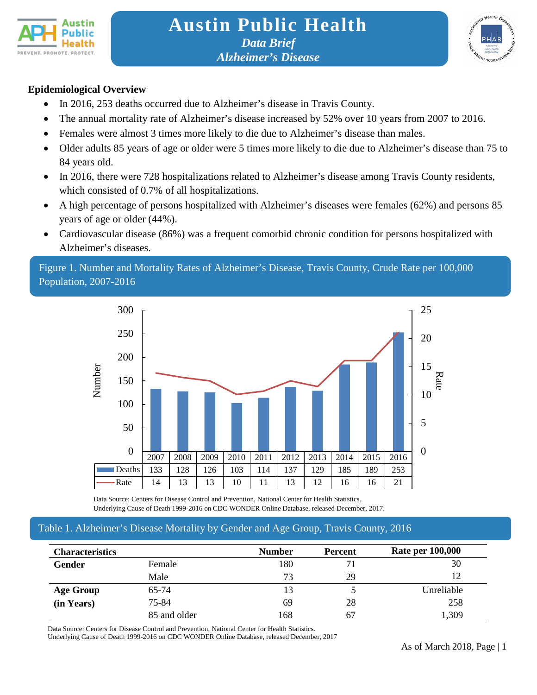



## **Epidemiological Overview**

- In 2016, 253 deaths occurred due to Alzheimer's disease in Travis County.
- The annual mortality rate of Alzheimer's disease increased by 52% over 10 years from 2007 to 2016.
- Females were almost 3 times more likely to die due to Alzheimer's disease than males.
- Older adults 85 years of age or older were 5 times more likely to die due to Alzheimer's disease than 75 to 84 years old.
- In 2016, there were 728 hospitalizations related to Alzheimer's disease among Travis County residents, which consisted of 0.7% of all hospitalizations.
- A high percentage of persons hospitalized with Alzheimer's diseases were females (62%) and persons 85 years of age or older (44%).
- Cardiovascular disease (86%) was a frequent comorbid chronic condition for persons hospitalized with Alzheimer's diseases.

Figure 1. Number and Mortality Rates of Alzheimer's Disease, Travis County, Crude Rate per 100,000 Population, 2007-2016



 Data Source: Centers for Disease Control and Prevention, National Center for Health Statistics. Underlying Cause of Death 1999-2016 on CDC WONDER Online Database, released December, 2017.

# Table 1. Alzheimer's Disease Mortality by Gender and Age Group, Travis County, 2016

| <b>Characteristics</b> |              | <b>Number</b> | <b>Rate per 100,000</b><br><b>Percent</b> |            |
|------------------------|--------------|---------------|-------------------------------------------|------------|
| <b>Gender</b>          | Female       | 180           |                                           | 30         |
|                        | Male         | 73            | 29                                        | 12         |
| <b>Age Group</b>       | 65-74        | 13            |                                           | Unreliable |
| (in Years)             | 75-84        | 69            | 28                                        | 258        |
|                        | 85 and older | 168           | 67                                        | 1,309      |

Data Source: Centers for Disease Control and Prevention, National Center for Health Statistics.

Underlying Cause of Death 1999-2016 on CDC WONDER Online Database, released December, 2017